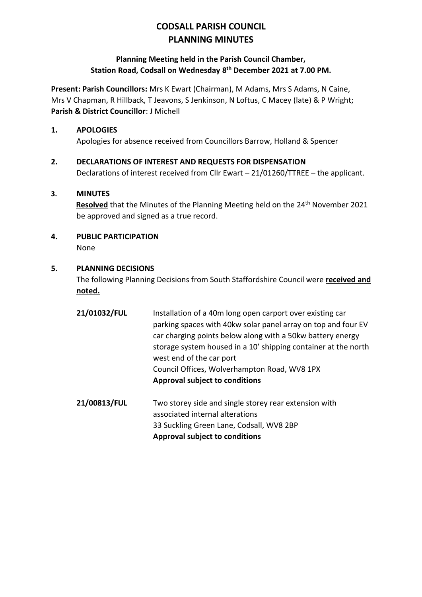# **CODSALL PARISH COUNCIL PLANNING MINUTES**

## **Planning Meeting held in the Parish Council Chamber, Station Road, Codsall on Wednesday 8 th December 2021 at 7.00 PM.**

**Present: Parish Councillors:** Mrs K Ewart (Chairman), M Adams, Mrs S Adams, N Caine, Mrs V Chapman, R Hillback, T Jeavons, S Jenkinson, N Loftus, C Macey (late) & P Wright; **Parish & District Councillor**: J Michell

## **1. APOLOGIES**

Apologies for absence received from Councillors Barrow, Holland & Spencer

## **2. DECLARATIONS OF INTEREST AND REQUESTS FOR DISPENSATION**

Declarations of interest received from Cllr Ewart – 21/01260/TTREE – the applicant.

## **3. MINUTES**

**Resolved** that the Minutes of the Planning Meeting held on the 24<sup>th</sup> November 2021 be approved and signed as a true record.

**4. PUBLIC PARTICIPATION** None

#### **5. PLANNING DECISIONS**

The following Planning Decisions from South Staffordshire Council were **received and noted.**

- **21/01032/FUL** Installation of a 40m long open carport over existing car parking spaces with 40kw solar panel array on top and four EV car charging points below along with a 50kw battery energy storage system housed in a 10' shipping container at the north west end of the car port Council Offices, Wolverhampton Road, WV8 1PX **Approval subject to conditions**
- **21/00813/FUL** Two storey side and single storey rear extension with associated internal alterations 33 Suckling Green Lane, Codsall, WV8 2BP **Approval subject to conditions**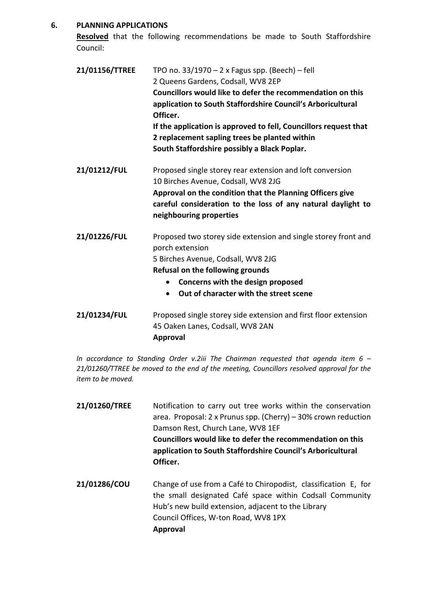#### **6. PLANNING APPLICATIONS**

**Resolved** that the following recommendations be made to South Staffordshire Council:

| 21/01156/TTREE | TPO no. $33/1970 - 2x$ Fagus spp. (Beech) – fell<br>2 Queens Gardens, Codsall, WV8 2EP<br>Councillors would like to defer the recommendation on this<br>application to South Staffordshire Council's Arboricultural<br>Officer.<br>If the application is approved to fell, Councillors request that<br>2 replacement sapling trees be planted within<br>South Staffordshire possibly a Black Poplar. |
|----------------|------------------------------------------------------------------------------------------------------------------------------------------------------------------------------------------------------------------------------------------------------------------------------------------------------------------------------------------------------------------------------------------------------|
| 21/01212/FUL   | Proposed single storey rear extension and loft conversion<br>10 Birches Avenue, Codsall, WV8 2JG<br>Approval on the condition that the Planning Officers give<br>careful consideration to the loss of any natural daylight to<br>neighbouring properties                                                                                                                                             |
| 21/01226/FUL   | Proposed two storey side extension and single storey front and<br>porch extension<br>5 Birches Avenue, Codsall, WV8 2JG                                                                                                                                                                                                                                                                              |

#### **Refusal on the following grounds**

- **Concerns with the design proposed**
- **Out of character with the street scene**
- **21/01234/FUL** Proposed single storey side extension and first floor extension 45 Oaken Lanes, Codsall, WV8 2AN **Approval**

*In accordance to Standing Order v.2iii The Chairman requested that agenda item 6 – 21/01260/TTREE be moved to the end of the meeting, Councillors resolved approval for the item to be moved.*

| 21/01260/TREE | Notification to carry out tree works within the conservation<br>area. Proposal: $2 \times$ Prunus spp. (Cherry) – 30% crown reduction<br>Damson Rest, Church Lane, WV8 1EF<br>Councillors would like to defer the recommendation on this<br>application to South Staffordshire Council's Arboricultural<br>Officer. |
|---------------|---------------------------------------------------------------------------------------------------------------------------------------------------------------------------------------------------------------------------------------------------------------------------------------------------------------------|
| 21/01286/COU  | Change of use from a Café to Chiropodist, classification E, for<br>the small designated Café space within Codsall Community<br>Hub's new build extension, adjacent to the Library<br>Council Offices, W-ton Road, WV8 1PX<br><b>Approval</b>                                                                        |